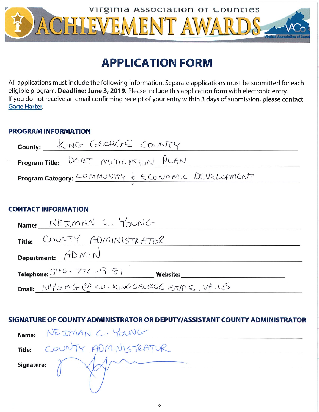

## **APPLICATION FORM**

All applications must include the following information. Separate applications must be submitted for each eligible program. Deadline: June 3, 2019. Please include this application form with electronic entry. If you do not receive an email confirming receipt of your entry within 3 days of submission, please contact **Gage Harter.** 

### **PROGRAM INFORMATION**

| County: KING GEORGE COUNTY                         |  |  |  |  |  |
|----------------------------------------------------|--|--|--|--|--|
| <b>Program Title:</b> DEBT MITIGHTION PLAN         |  |  |  |  |  |
| Program Category: CDMMUNITY & ECONDMIC DEVELOPMENT |  |  |  |  |  |
|                                                    |  |  |  |  |  |
| CONTACT INFORMATION                                |  |  |  |  |  |
| Name: NEIMAN C. YOUNG                              |  |  |  |  |  |
| Title: COUNTY ADMINISTRATOR                        |  |  |  |  |  |
| Department: $ADM1N$                                |  |  |  |  |  |
| Telephone: $540 - 775 - 9181$<br><b>Website:</b>   |  |  |  |  |  |
| Email: NYOUNG @ CD. KINGGEORGE, STATE, VA.US       |  |  |  |  |  |

## SIGNATURE OF COUNTY ADMINISTRATOR OR DEPUTY/ASSISTANT COUNTY ADMINISTRATOR

| Name:         | NE IMAN C. YOUNG |
|---------------|------------------|
| <b>Title:</b> | ADMINISTRATUR    |
| Signature:    |                  |
|               |                  |
|               |                  |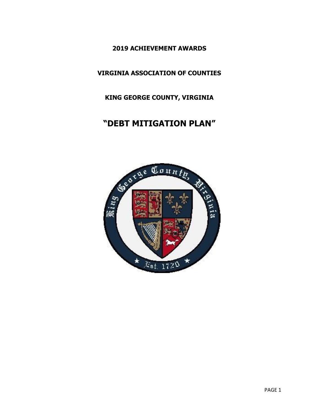**2019 ACHIEVEMENT AWARDS**

**VIRGINIA ASSOCIATION OF COUNTIES**

**KING GEORGE COUNTY, VIRGINIA**

## **"DEBT MITIGATION PLAN"**

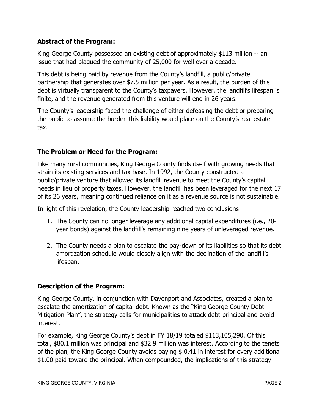#### **Abstract of the Program:**

King George County possessed an existing debt of approximately \$113 million -- an issue that had plagued the community of 25,000 for well over a decade.

This debt is being paid by revenue from the County's landfill, a public/private partnership that generates over \$7.5 million per year. As a result, the burden of this debt is virtually transparent to the County's taxpayers. However, the landfill's lifespan is finite, and the revenue generated from this venture will end in 26 years.

The County's leadership faced the challenge of either defeasing the debt or preparing the public to assume the burden this liability would place on the County's real estate tax.

#### **The Problem or Need for the Program:**

Like many rural communities, King George County finds itself with growing needs that strain its existing services and tax base. In 1992, the County constructed a public/private venture that allowed its landfill revenue to meet the County's capital needs in lieu of property taxes. However, the landfill has been leveraged for the next 17 of its 26 years, meaning continued reliance on it as a revenue source is not sustainable.

In light of this revelation, the County leadership reached two conclusions:

- 1. The County can no longer leverage any additional capital expenditures (i.e., 20 year bonds) against the landfill's remaining nine years of unleveraged revenue.
- 2. The County needs a plan to escalate the pay-down of its liabilities so that its debt amortization schedule would closely align with the declination of the landfill's lifespan.

#### **Description of the Program:**

King George County, in conjunction with Davenport and Associates, created a plan to escalate the amortization of capital debt. Known as the "King George County Debt Mitigation Plan", the strategy calls for municipalities to attack debt principal and avoid interest.

For example, King George County's debt in FY 18/19 totaled \$113,105,290. Of this total, \$80.1 million was principal and \$32.9 million was interest. According to the tenets of the plan, the King George County avoids paying \$ 0.41 in interest for every additional \$1.00 paid toward the principal. When compounded, the implications of this strategy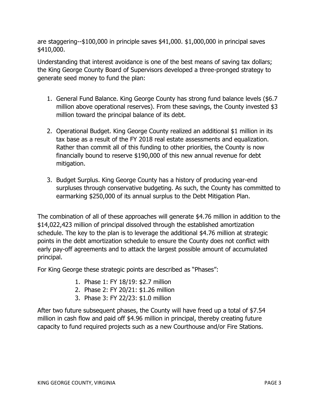are staggering--\$100,000 in principle saves \$41,000. \$1,000,000 in principal saves \$410,000.

Understanding that interest avoidance is one of the best means of saving tax dollars; the King George County Board of Supervisors developed a three-pronged strategy to generate seed money to fund the plan:

- 1. General Fund Balance. King George County has strong fund balance levels (\$6.7 million above operational reserves). From these savings, the County invested \$3 million toward the principal balance of its debt.
- 2. Operational Budget. King George County realized an additional \$1 million in its tax base as a result of the FY 2018 real estate assessments and equalization. Rather than commit all of this funding to other priorities, the County is now financially bound to reserve \$190,000 of this new annual revenue for debt mitigation.
- 3. Budget Surplus. King George County has a history of producing year-end surpluses through conservative budgeting. As such, the County has committed to earmarking \$250,000 of its annual surplus to the Debt Mitigation Plan.

The combination of all of these approaches will generate \$4.76 million in addition to the \$14,022,423 million of principal dissolved through the established amortization schedule. The key to the plan is to leverage the additional \$4.76 million at strategic points in the debt amortization schedule to ensure the County does not conflict with early pay-off agreements and to attack the largest possible amount of accumulated principal.

For King George these strategic points are described as "Phases":

- 1. Phase 1: FY 18/19: \$2.7 million
- 2. Phase 2: FY 20/21: \$1.26 million
- 3. Phase 3: FY 22/23: \$1.0 million

After two future subsequent phases, the County will have freed up a total of \$7.54 million in cash flow and paid off \$4.96 million in principal, thereby creating future capacity to fund required projects such as a new Courthouse and/or Fire Stations.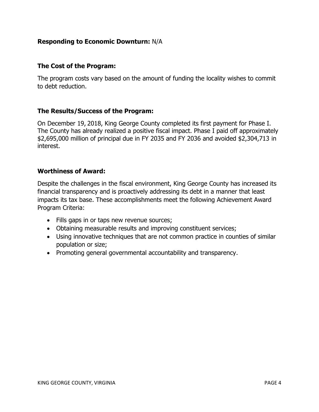#### **Responding to Economic Downturn:** N/A

#### **The Cost of the Program:**

The program costs vary based on the amount of funding the locality wishes to commit to debt reduction.

#### **The Results/Success of the Program:**

On December 19, 2018, King George County completed its first payment for Phase I. The County has already realized a positive fiscal impact. Phase I paid off approximately \$2,695,000 million of principal due in FY 2035 and FY 2036 and avoided \$2,304,713 in interest.

#### **Worthiness of Award:**

Despite the challenges in the fiscal environment, King George County has increased its financial transparency and is proactively addressing its debt in a manner that least impacts its tax base. These accomplishments meet the following Achievement Award Program Criteria:

- Fills gaps in or taps new revenue sources;
- Obtaining measurable results and improving constituent services;
- Using innovative techniques that are not common practice in counties of similar population or size;
- Promoting general governmental accountability and transparency.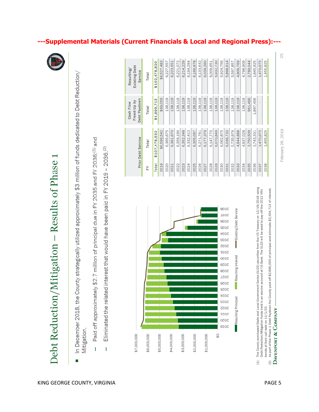Debt Reduction/Mitigation - Results of Phase

- In December 2018, the County strategically utilized approximately \$3 million of funds dedicated to Debt Reduction, Mitigation. Ξ
- Paid off approximately \$2.7 million of principal due in FY 2035 and FY 2036;<sup>(1)</sup> and  $\overline{\phantom{a}}$
- Eliminated the related interest that would have been paid in FY 2019 2036.<sup>(2)</sup>  $\mathbf I$



---Supplemental Materials (Current Financials & Local and Regional Press):---

\$6,527,483

\$69,059 138,119

\$4,999,713

\$107,478,532 \$6,596,542

Total

2019 2020

Total

Total

논

\$102,478,820

Existing Debt Resulting/ Service Total

Debt Paydown

Prior Debt Service

Cash Flow<br>Freed-Up by

6,223,551 6,221,072 6,214,229

138,119 138,119 138,119

6,365,675 6,361,670

6,227,557

6,166,978

6,194,294

6,039,260

6,009,651

138,119

138,119

6,070,849

6,062,875 6,036,733

6,147,770

138,119

138,119 138,119 138,119 138,119 961,466

5,735,976

4,944,888 4,937,028

6,133,642

138,119

138,119

6,177,379

6,271,761

138,119

6,305,097

6,332,413

138,119

6,352,348

2023

2024 2025 2026 2027 2028 2029 2030 2031 2032 2033

2022

2021

6,359,190

5,932,730 5,924,756 5,898,614 5,597,857 4,806,769 4.798.909 2,789,044 1,845,925 1,470,675

- ă Õ  $\overline{2}$
- 
- As part of the Phase 1 Debt Paydown the County paid off \$2,695,000 of principal and eliminate \$2,304,713 of interest
	- DAVENPORT & COMPANY
- 
- 
- 

 $\widehat{E}$ 

25

1,455,825

,897,406

3,750,509

2035 2036

2034

3,743,331

1,470,675

1,455,825

2038

2037

February 26, 2019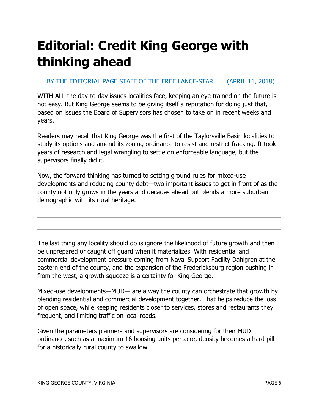# **Editorial: Credit King George with thinking ahead**

### [BY THE EDITORIAL PAGE STAFF OF THE FREE LANCE-STAR](https://www.fredericksburg.com/users/profile/EditorialPageStaff) (APRIL 11, 2018)

WITH ALL the day-to-day issues localities face, keeping an eye trained on the future is not easy. But King George seems to be giving itself a reputation for doing just that, based on issues the Board of Supervisors has chosen to take on in recent weeks and years.

Readers may recall that King George was the first of the Taylorsville Basin localities to study its options and amend its zoning ordinance to resist and restrict fracking. It took years of research and legal wrangling to settle on enforceable language, but the supervisors finally did it.

Now, the forward thinking has turned to setting ground rules for mixed-use developments and reducing county debt—two important issues to get in front of as the county not only grows in the years and decades ahead but blends a more suburban demographic with its rural heritage.

The last thing any locality should do is ignore the likelihood of future growth and then be unprepared or caught off guard when it materializes. With residential and commercial development pressure coming from Naval Support Facility Dahlgren at the eastern end of the county, and the expansion of the Fredericksburg region pushing in from the west, a growth squeeze is a certainty for King George.

Mixed-use developments—MUD— are a way the county can orchestrate that growth by blending residential and commercial development together. That helps reduce the loss of open space, while keeping residents closer to services, stores and restaurants they frequent, and limiting traffic on local roads.

Given the parameters planners and supervisors are considering for their MUD ordinance, such as a maximum 16 housing units per acre, density becomes a hard pill for a historically rural county to swallow.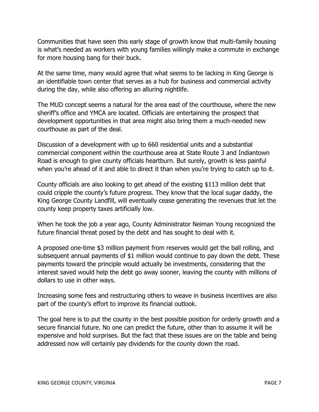Communities that have seen this early stage of growth know that multi-family housing is what's needed as workers with young families willingly make a commute in exchange for more housing bang for their buck.

At the same time, many would agree that what seems to be lacking in King George is an identifiable town center that serves as a hub for business and commercial activity during the day, while also offering an alluring nightlife.

The MUD concept seems a natural for the area east of the courthouse, where the new sheriff's office and YMCA are located. Officials are entertaining the prospect that development opportunities in that area might also bring them a much-needed new courthouse as part of the deal.

Discussion of a development with up to 660 residential units and a substantial commercial component within the courthouse area at State Route 3 and Indiantown Road is enough to give county officials heartburn. But surely, growth is less painful when you're ahead of it and able to direct it than when you're trying to catch up to it.

County officials are also looking to get ahead of the existing \$113 million debt that could cripple the county's future progress. They know that the local sugar daddy, the King George County Landfill, will eventually cease generating the revenues that let the county keep property taxes artificially low.

When he took the job a year ago, County Administrator Neiman Young recognized the future financial threat posed by the debt and has sought to deal with it.

A proposed one-time \$3 million payment from reserves would get the ball rolling, and subsequent annual payments of \$1 million would continue to pay down the debt. These payments toward the principle would actually be investments, considering that the interest saved would help the debt go away sooner, leaving the county with millions of dollars to use in other ways.

Increasing some fees and restructuring others to weave in business incentives are also part of the county's effort to improve its financial outlook.

The goal here is to put the county in the best possible position for orderly growth and a secure financial future. No one can predict the future, other than to assume it will be expensive and hold surprises. But the fact that these issues are on the table and being addressed now will certainly pay dividends for the county down the road.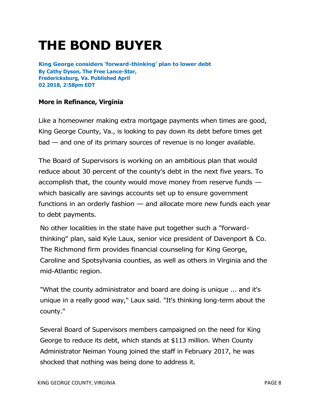## **THE BOND BUYER**

**King George considers 'forward-thinking' plan to lower debt By Cathy Dyson, The Free Lance-Star, Fredericksburg, Va. Published April 02 2018, 2∶58pm EDT**

#### **More in [Refinance,](https://www.bondbuyer.com/refinance) [Virginia](https://www.bondbuyer.com/location/virginia)**

Like a homeowner making extra mortgage payments when times are good, King George County, Va., is looking to pay down its debt before times get bad — and one of its primary sources of revenue is no longer available.

The Board of Supervisors is working on an ambitious plan that would reduce about 30 percent of the county's debt in the next five years. To accomplish that, the county would move money from reserve funds which basically are savings accounts set up to ensure government functions in an orderly fashion — and allocate more new funds each year to debt payments.

No other localities in the state have put together such a "forwardthinking" plan, said Kyle Laux, senior vice president of Davenport & Co. The Richmond firm provides financial counseling for King George, Caroline and Spotsylvania counties, as well as others in Virginia and the mid-Atlantic region.

"What the county administrator and board are doing is unique ... and it's unique in a really good way," Laux said. "It's thinking long-term about the county."

Several Board of Supervisors members campaigned on the need for King George to reduce its debt, which stands at \$113 million. When County Administrator Neiman Young joined the staff in February 2017, he was shocked that nothing was being done to address it.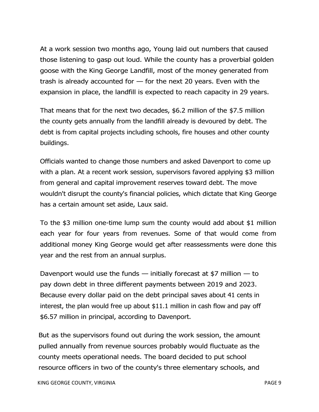At a work session two months ago, Young laid out numbers that caused those listening to gasp out loud. While the county has a proverbial golden goose with the King George Landfill, most of the money generated from trash is already accounted for — for the next 20 years. Even with the expansion in place, the landfill is expected to reach capacity in 29 years.

That means that for the next two decades, \$6.2 million of the \$7.5 million the county gets annually from the landfill already is devoured by debt. The debt is from capital projects including schools, fire houses and other county buildings.

Officials wanted to change those numbers and asked Davenport to come up with a plan. At a recent work session, supervisors favored applying \$3 million from general and capital improvement reserves toward debt. The move wouldn't disrupt the county's financial policies, which dictate that King George has a certain amount set aside, Laux said.

To the \$3 million one-time lump sum the county would add about \$1 million each year for four years from revenues. Some of that would come from additional money King George would get after reassessments were done this year and the rest from an annual surplus.

Davenport would use the funds  $-$  initially forecast at \$7 million  $-$  to pay down debt in three different payments between 2019 and 2023. Because every dollar paid on the debt principal saves about 41 cents in interest, the plan would free up about \$11.1 million in cash flow and pay off \$6.57 million in principal, according to Davenport.

But as the supervisors found out during the work session, the amount pulled annually from revenue sources probably would fluctuate as the county meets operational needs. The board decided to put school resource officers in two of the county's three elementary schools, and